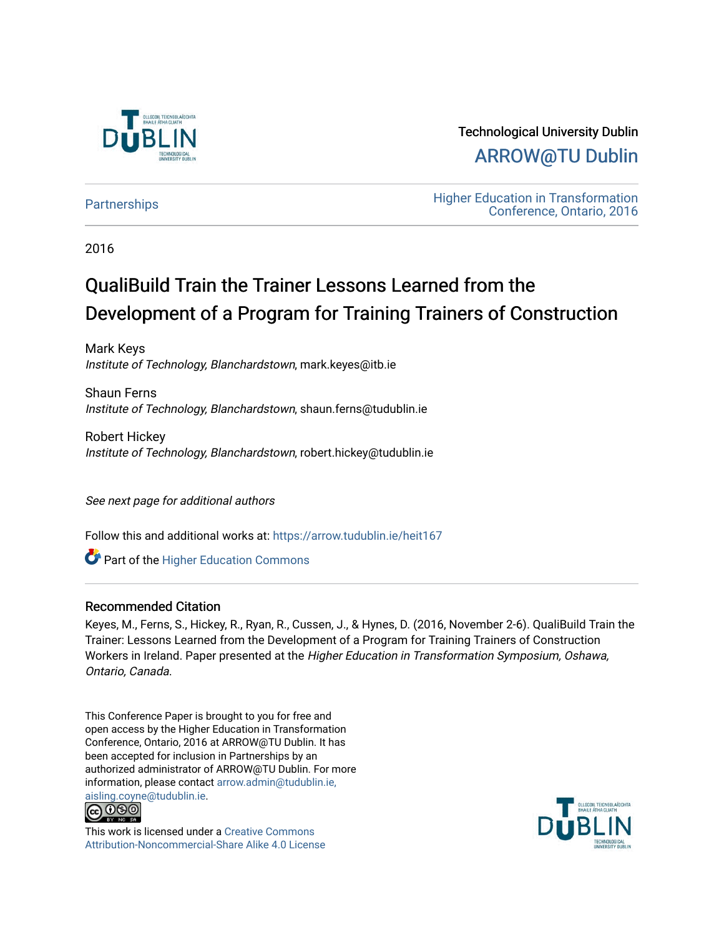

Technological University Dublin [ARROW@TU Dublin](https://arrow.tudublin.ie/) 

[Partnerships](https://arrow.tudublin.ie/heit167) **Education** Higher Education in Transformation [Conference, Ontario, 2016](https://arrow.tudublin.ie/tuheit16) 

2016

# QualiBuild Train the Trainer Lessons Learned from the Development of a Program for Training Trainers of Construction

Mark Keys Institute of Technology, Blanchardstown, mark.keyes@itb.ie

Shaun Ferns Institute of Technology, Blanchardstown, shaun.ferns@tudublin.ie

Robert Hickey Institute of Technology, Blanchardstown, robert.hickey@tudublin.ie

See next page for additional authors

Follow this and additional works at: [https://arrow.tudublin.ie/heit167](https://arrow.tudublin.ie/heit167?utm_source=arrow.tudublin.ie%2Fheit167%2F1&utm_medium=PDF&utm_campaign=PDFCoverPages)

**C** Part of the Higher Education Commons

#### Recommended Citation

Keyes, M., Ferns, S., Hickey, R., Ryan, R., Cussen, J., & Hynes, D. (2016, November 2-6). QualiBuild Train the Trainer: Lessons Learned from the Development of a Program for Training Trainers of Construction Workers in Ireland. Paper presented at the Higher Education in Transformation Symposium, Oshawa, Ontario, Canada.

This Conference Paper is brought to you for free and open access by the Higher Education in Transformation Conference, Ontario, 2016 at ARROW@TU Dublin. It has been accepted for inclusion in Partnerships by an authorized administrator of ARROW@TU Dublin. For more information, please contact [arrow.admin@tudublin.ie,](mailto:arrow.admin@tudublin.ie,%20aisling.coyne@tudublin.ie)  [aisling.coyne@tudublin.ie.](mailto:arrow.admin@tudublin.ie,%20aisling.coyne@tudublin.ie)<br>@000



This work is licensed under a [Creative Commons](http://creativecommons.org/licenses/by-nc-sa/4.0/) [Attribution-Noncommercial-Share Alike 4.0 License](http://creativecommons.org/licenses/by-nc-sa/4.0/)

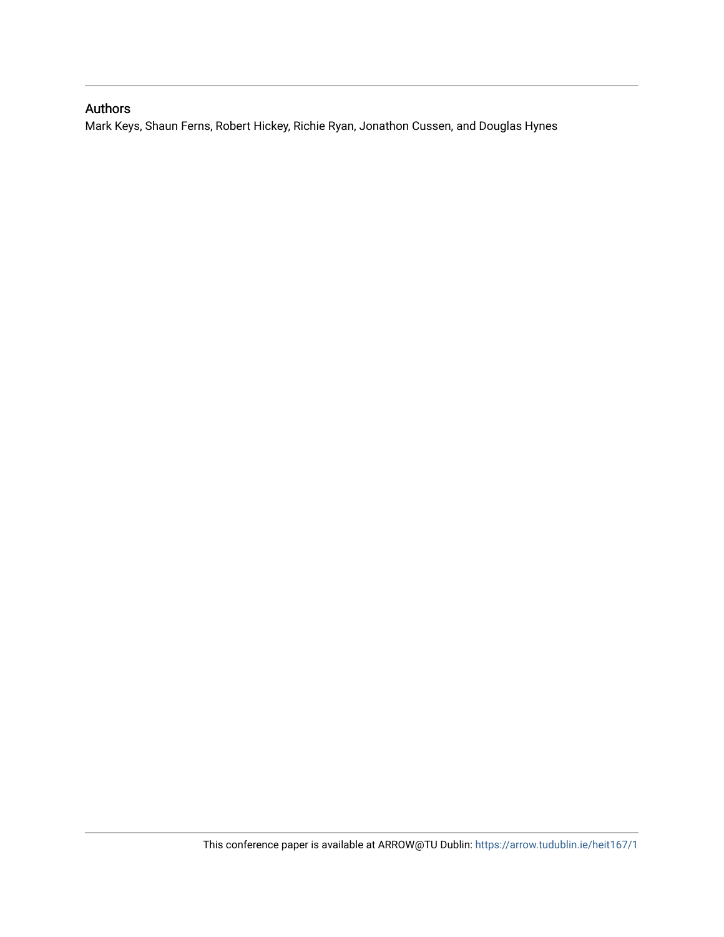# Authors

Mark Keys, Shaun Ferns, Robert Hickey, Richie Ryan, Jonathon Cussen, and Douglas Hynes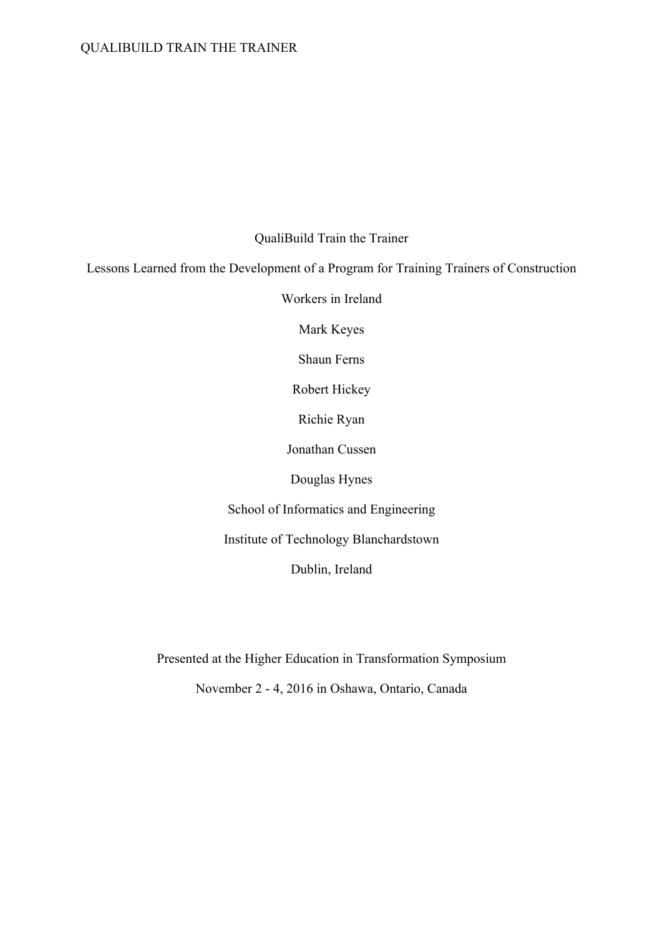## QualiBuild Train the Trainer

Lessons Learned from the Development of a Program for Training Trainers of Construction

Workers in Ireland

Mark Keyes

Shaun Ferns

Robert Hickey

Richie Ryan

Jonathan Cussen

Douglas Hynes

School of Informatics and Engineering

Institute of Technology Blanchardstown

Dublin, Ireland

Presented at the Higher Education in Transformation Symposium

November 2 - 4, 2016 in Oshawa, Ontario, Canada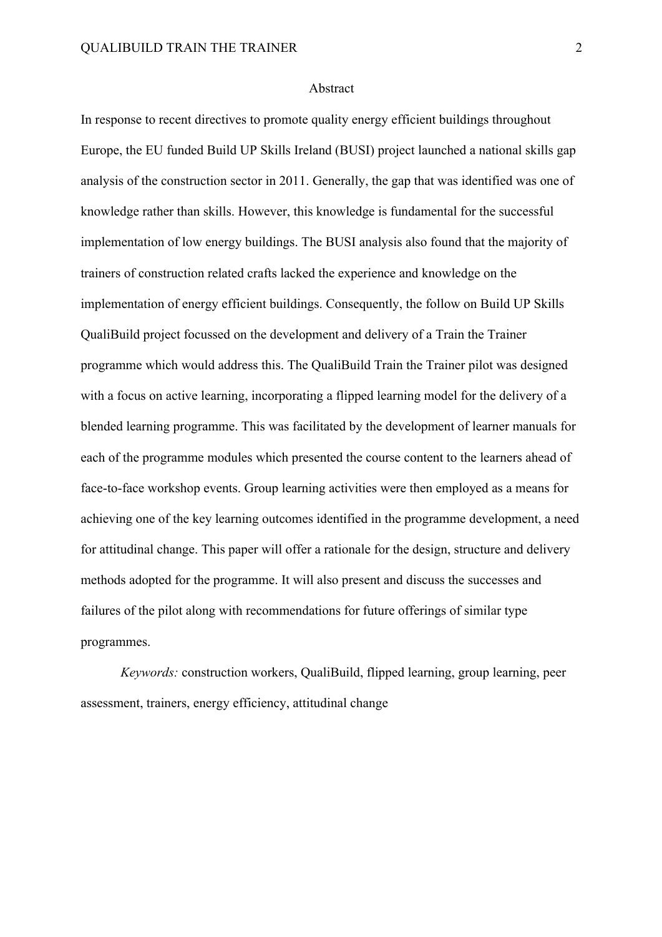#### Abstract

In response to recent directives to promote quality energy efficient buildings throughout Europe, the EU funded Build UP Skills Ireland (BUSI) project launched a national skills gap analysis of the construction sector in 2011. Generally, the gap that was identified was one of knowledge rather than skills. However, this knowledge is fundamental for the successful implementation of low energy buildings. The BUSI analysis also found that the majority of trainers of construction related crafts lacked the experience and knowledge on the implementation of energy efficient buildings. Consequently, the follow on Build UP Skills QualiBuild project focussed on the development and delivery of a Train the Trainer programme which would address this. The QualiBuild Train the Trainer pilot was designed with a focus on active learning, incorporating a flipped learning model for the delivery of a blended learning programme. This was facilitated by the development of learner manuals for each of the programme modules which presented the course content to the learners ahead of face-to-face workshop events. Group learning activities were then employed as a means for achieving one of the key learning outcomes identified in the programme development, a need for attitudinal change. This paper will offer a rationale for the design, structure and delivery methods adopted for the programme. It will also present and discuss the successes and failures of the pilot along with recommendations for future offerings of similar type programmes.

*Keywords:* construction workers, QualiBuild, flipped learning, group learning, peer assessment, trainers, energy efficiency, attitudinal change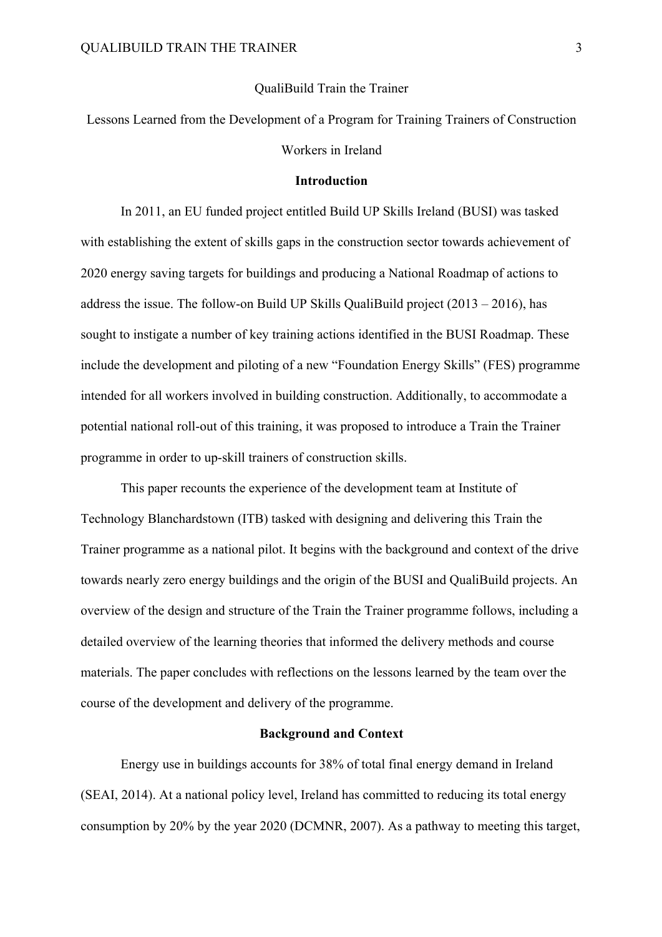#### QualiBuild Train the Trainer

Lessons Learned from the Development of a Program for Training Trainers of Construction Workers in Ireland

#### **Introduction**

In 2011, an EU funded project entitled Build UP Skills Ireland (BUSI) was tasked with establishing the extent of skills gaps in the construction sector towards achievement of 2020 energy saving targets for buildings and producing a National Roadmap of actions to address the issue. The follow-on Build UP Skills QualiBuild project  $(2013 – 2016)$ , has sought to instigate a number of key training actions identified in the BUSI Roadmap. These include the development and piloting of a new "Foundation Energy Skills" (FES) programme intended for all workers involved in building construction. Additionally, to accommodate a potential national roll-out of this training, it was proposed to introduce a Train the Trainer programme in order to up-skill trainers of construction skills.

This paper recounts the experience of the development team at Institute of Technology Blanchardstown (ITB) tasked with designing and delivering this Train the Trainer programme as a national pilot. It begins with the background and context of the drive towards nearly zero energy buildings and the origin of the BUSI and QualiBuild projects. An overview of the design and structure of the Train the Trainer programme follows, including a detailed overview of the learning theories that informed the delivery methods and course materials. The paper concludes with reflections on the lessons learned by the team over the course of the development and delivery of the programme.

#### **Background and Context**

Energy use in buildings accounts for 38% of total final energy demand in Ireland (SEAI, 2014). At a national policy level, Ireland has committed to reducing its total energy consumption by 20% by the year 2020 (DCMNR, 2007). As a pathway to meeting this target,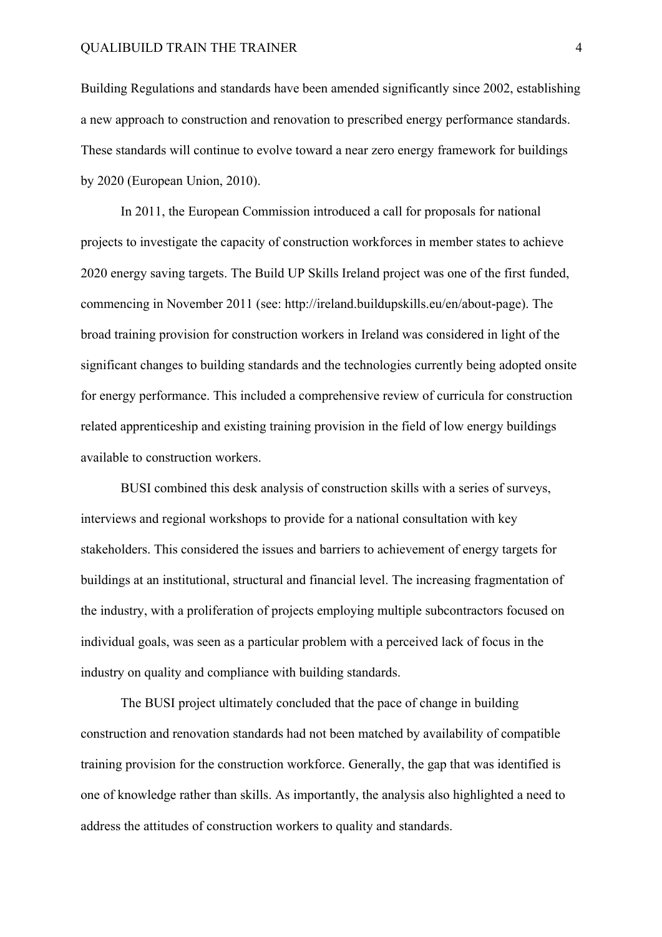Building Regulations and standards have been amended significantly since 2002, establishing a new approach to construction and renovation to prescribed energy performance standards. These standards will continue to evolve toward a near zero energy framework for buildings by 2020 (European Union, 2010).

In 2011, the European Commission introduced a call for proposals for national projects to investigate the capacity of construction workforces in member states to achieve 2020 energy saving targets. The Build UP Skills Ireland project was one of the first funded, commencing in November 2011 (see: http://ireland.buildupskills.eu/en/about-page). The broad training provision for construction workers in Ireland was considered in light of the significant changes to building standards and the technologies currently being adopted onsite for energy performance. This included a comprehensive review of curricula for construction related apprenticeship and existing training provision in the field of low energy buildings available to construction workers.

BUSI combined this desk analysis of construction skills with a series of surveys, interviews and regional workshops to provide for a national consultation with key stakeholders. This considered the issues and barriers to achievement of energy targets for buildings at an institutional, structural and financial level. The increasing fragmentation of the industry, with a proliferation of projects employing multiple subcontractors focused on individual goals, was seen as a particular problem with a perceived lack of focus in the industry on quality and compliance with building standards.

The BUSI project ultimately concluded that the pace of change in building construction and renovation standards had not been matched by availability of compatible training provision for the construction workforce. Generally, the gap that was identified is one of knowledge rather than skills. As importantly, the analysis also highlighted a need to address the attitudes of construction workers to quality and standards.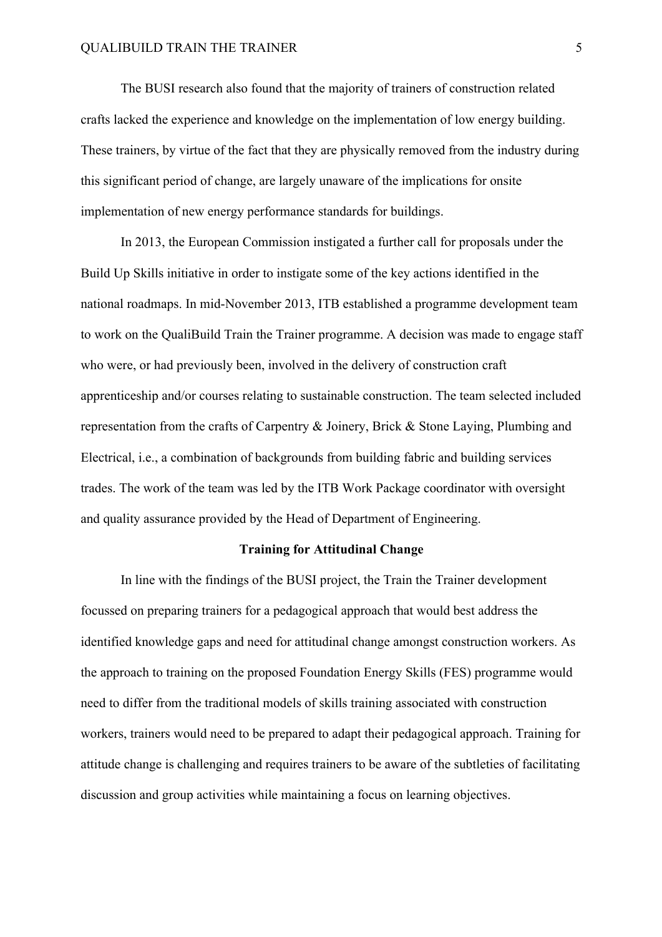The BUSI research also found that the majority of trainers of construction related crafts lacked the experience and knowledge on the implementation of low energy building. These trainers, by virtue of the fact that they are physically removed from the industry during this significant period of change, are largely unaware of the implications for onsite implementation of new energy performance standards for buildings.

In 2013, the European Commission instigated a further call for proposals under the Build Up Skills initiative in order to instigate some of the key actions identified in the national roadmaps. In mid-November 2013, ITB established a programme development team to work on the QualiBuild Train the Trainer programme. A decision was made to engage staff who were, or had previously been, involved in the delivery of construction craft apprenticeship and/or courses relating to sustainable construction. The team selected included representation from the crafts of Carpentry & Joinery, Brick & Stone Laying, Plumbing and Electrical, i.e., a combination of backgrounds from building fabric and building services trades. The work of the team was led by the ITB Work Package coordinator with oversight and quality assurance provided by the Head of Department of Engineering.

#### **Training for Attitudinal Change**

In line with the findings of the BUSI project, the Train the Trainer development focussed on preparing trainers for a pedagogical approach that would best address the identified knowledge gaps and need for attitudinal change amongst construction workers. As the approach to training on the proposed Foundation Energy Skills (FES) programme would need to differ from the traditional models of skills training associated with construction workers, trainers would need to be prepared to adapt their pedagogical approach. Training for attitude change is challenging and requires trainers to be aware of the subtleties of facilitating discussion and group activities while maintaining a focus on learning objectives.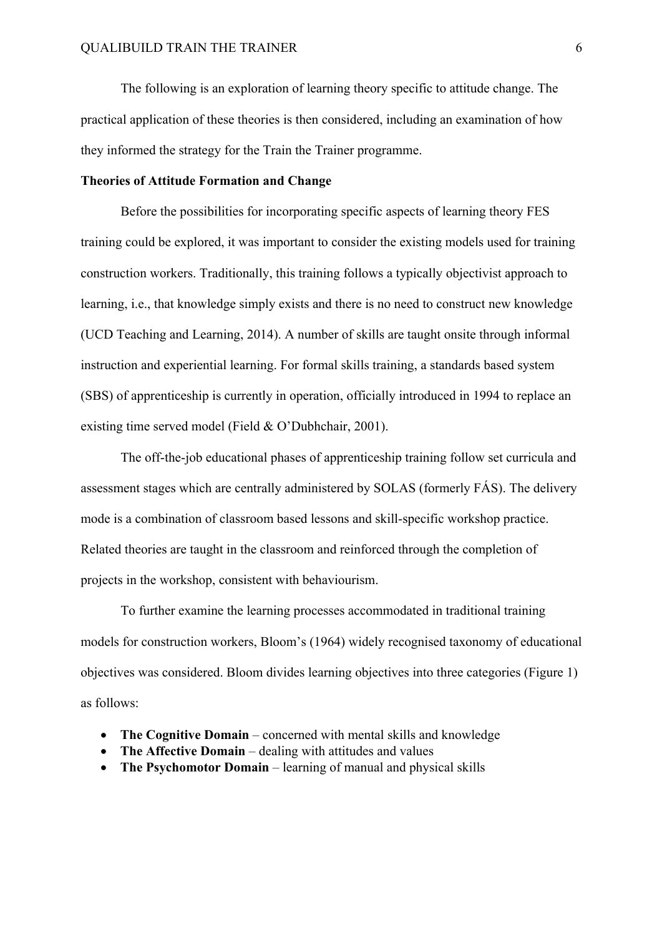The following is an exploration of learning theory specific to attitude change. The practical application of these theories is then considered, including an examination of how they informed the strategy for the Train the Trainer programme.

#### **Theories of Attitude Formation and Change**

Before the possibilities for incorporating specific aspects of learning theory FES training could be explored, it was important to consider the existing models used for training construction workers. Traditionally, this training follows a typically objectivist approach to learning, i.e., that knowledge simply exists and there is no need to construct new knowledge (UCD Teaching and Learning, 2014). A number of skills are taught onsite through informal instruction and experiential learning. For formal skills training, a standards based system (SBS) of apprenticeship is currently in operation, officially introduced in 1994 to replace an existing time served model (Field & O'Dubhchair, 2001).

The off-the-job educational phases of apprenticeship training follow set curricula and assessment stages which are centrally administered by SOLAS (formerly FÁS). The delivery mode is a combination of classroom based lessons and skill-specific workshop practice. Related theories are taught in the classroom and reinforced through the completion of projects in the workshop, consistent with behaviourism.

To further examine the learning processes accommodated in traditional training models for construction workers, Bloom's (1964) widely recognised taxonomy of educational objectives was considered. Bloom divides learning objectives into three categories (Figure 1) as follows:

- **The Cognitive Domain** concerned with mental skills and knowledge
- **The Affective Domain** dealing with attitudes and values
- **The Psychomotor Domain** learning of manual and physical skills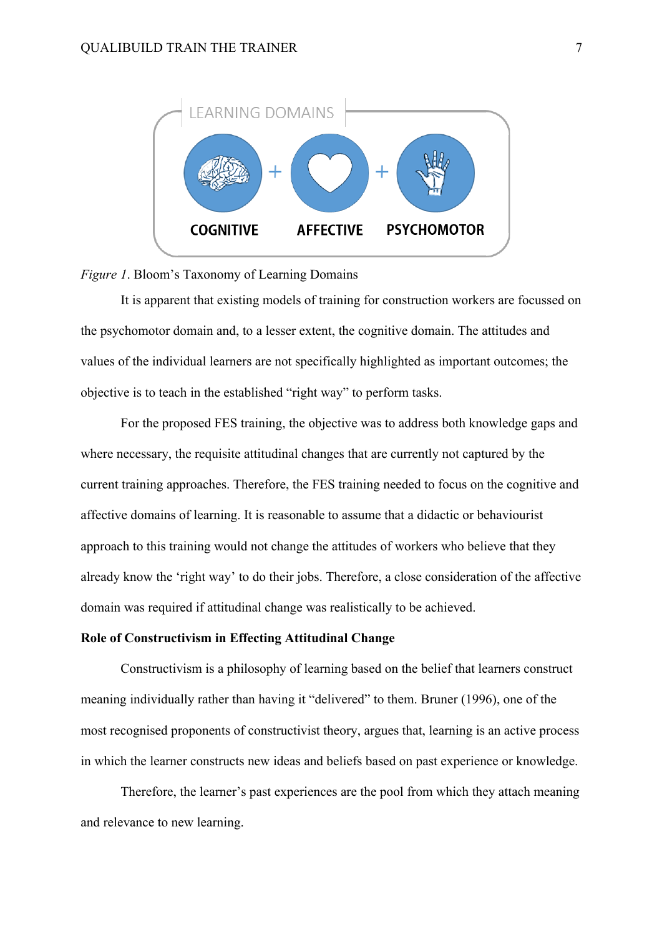



It is apparent that existing models of training for construction workers are focussed on the psychomotor domain and, to a lesser extent, the cognitive domain. The attitudes and values of the individual learners are not specifically highlighted as important outcomes; the objective is to teach in the established "right way" to perform tasks.

For the proposed FES training, the objective was to address both knowledge gaps and where necessary, the requisite attitudinal changes that are currently not captured by the current training approaches. Therefore, the FES training needed to focus on the cognitive and affective domains of learning. It is reasonable to assume that a didactic or behaviourist approach to this training would not change the attitudes of workers who believe that they already know the 'right way' to do their jobs. Therefore, a close consideration of the affective domain was required if attitudinal change was realistically to be achieved.

#### **Role of Constructivism in Effecting Attitudinal Change**

Constructivism is a philosophy of learning based on the belief that learners construct meaning individually rather than having it "delivered" to them. Bruner (1996), one of the most recognised proponents of constructivist theory, argues that, learning is an active process in which the learner constructs new ideas and beliefs based on past experience or knowledge.

Therefore, the learner's past experiences are the pool from which they attach meaning and relevance to new learning.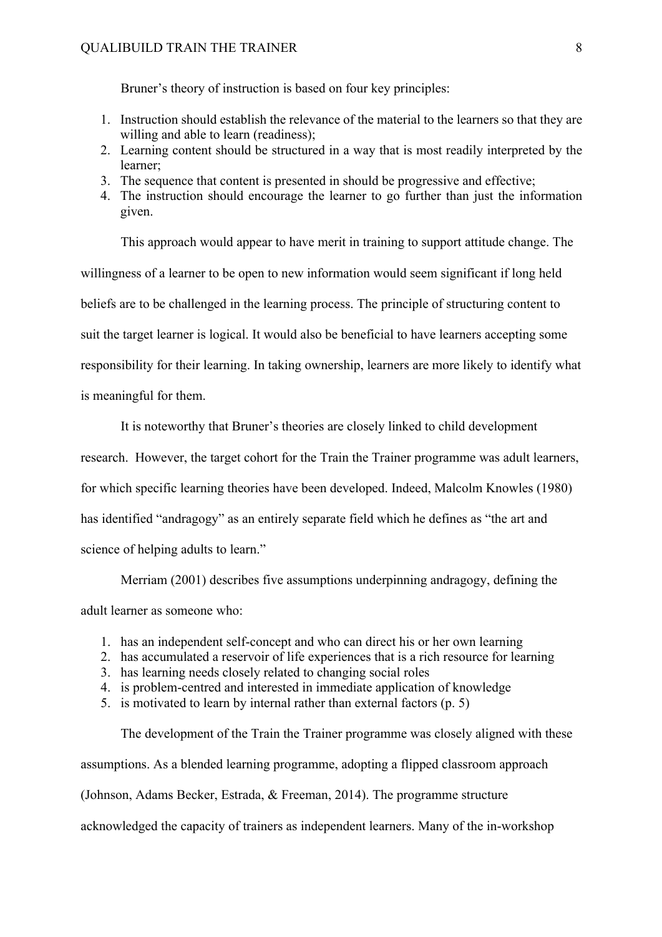Bruner's theory of instruction is based on four key principles:

- 1. Instruction should establish the relevance of the material to the learners so that they are willing and able to learn (readiness);
- 2. Learning content should be structured in a way that is most readily interpreted by the learner;
- 3. The sequence that content is presented in should be progressive and effective;
- 4. The instruction should encourage the learner to go further than just the information given.

This approach would appear to have merit in training to support attitude change. The willingness of a learner to be open to new information would seem significant if long held beliefs are to be challenged in the learning process. The principle of structuring content to suit the target learner is logical. It would also be beneficial to have learners accepting some responsibility for their learning. In taking ownership, learners are more likely to identify what is meaningful for them.

It is noteworthy that Bruner's theories are closely linked to child development research. However, the target cohort for the Train the Trainer programme was adult learners, for which specific learning theories have been developed. Indeed, Malcolm Knowles (1980) has identified "andragogy" as an entirely separate field which he defines as "the art and science of helping adults to learn."

Merriam (2001) describes five assumptions underpinning andragogy, defining the adult learner as someone who:

- 1. has an independent self-concept and who can direct his or her own learning
- 2. has accumulated a reservoir of life experiences that is a rich resource for learning
- 3. has learning needs closely related to changing social roles
- 4. is problem-centred and interested in immediate application of knowledge
- 5. is motivated to learn by internal rather than external factors (p. 5)

The development of the Train the Trainer programme was closely aligned with these assumptions. As a blended learning programme, adopting a flipped classroom approach (Johnson, Adams Becker, Estrada, & Freeman, 2014). The programme structure acknowledged the capacity of trainers as independent learners. Many of the in-workshop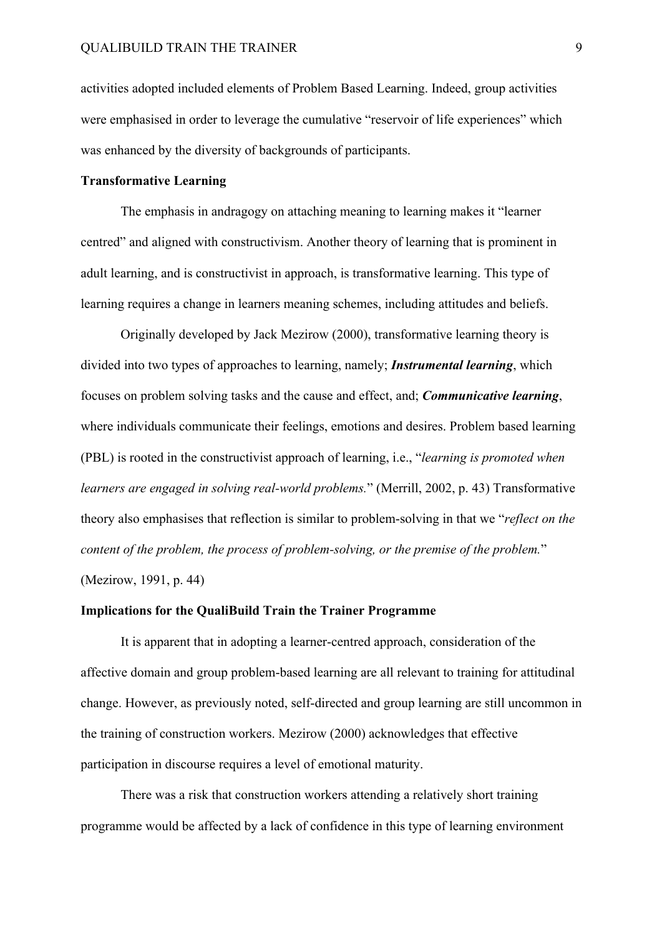activities adopted included elements of Problem Based Learning. Indeed, group activities were emphasised in order to leverage the cumulative "reservoir of life experiences" which was enhanced by the diversity of backgrounds of participants.

### **Transformative Learning**

The emphasis in andragogy on attaching meaning to learning makes it "learner centred" and aligned with constructivism. Another theory of learning that is prominent in adult learning, and is constructivist in approach, is transformative learning. This type of learning requires a change in learners meaning schemes, including attitudes and beliefs.

Originally developed by Jack Mezirow (2000), transformative learning theory is divided into two types of approaches to learning, namely; *Instrumental learning*, which focuses on problem solving tasks and the cause and effect, and; *Communicative learning*, where individuals communicate their feelings, emotions and desires. Problem based learning (PBL) is rooted in the constructivist approach of learning, i.e., "*learning is promoted when learners are engaged in solving real-world problems.*" (Merrill, 2002, p. 43) Transformative theory also emphasises that reflection is similar to problem-solving in that we "*reflect on the content of the problem, the process of problem-solving, or the premise of the problem.*"

(Mezirow, 1991, p. 44)

#### **Implications for the QualiBuild Train the Trainer Programme**

It is apparent that in adopting a learner-centred approach, consideration of the affective domain and group problem-based learning are all relevant to training for attitudinal change. However, as previously noted, self-directed and group learning are still uncommon in the training of construction workers. Mezirow (2000) acknowledges that effective participation in discourse requires a level of emotional maturity.

There was a risk that construction workers attending a relatively short training programme would be affected by a lack of confidence in this type of learning environment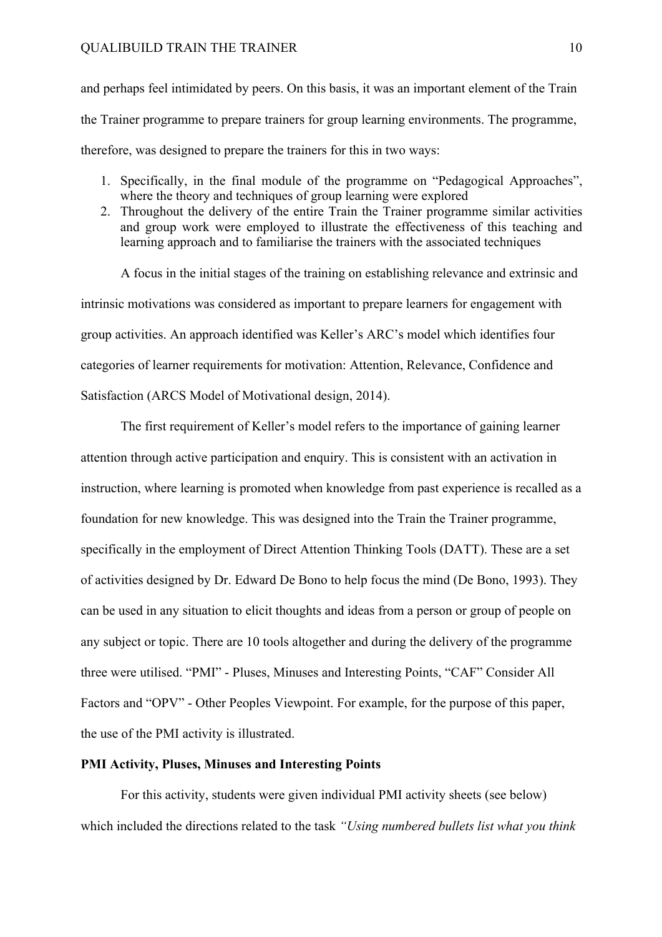and perhaps feel intimidated by peers. On this basis, it was an important element of the Train the Trainer programme to prepare trainers for group learning environments. The programme, therefore, was designed to prepare the trainers for this in two ways:

- 1. Specifically, in the final module of the programme on "Pedagogical Approaches", where the theory and techniques of group learning were explored
- 2. Throughout the delivery of the entire Train the Trainer programme similar activities and group work were employed to illustrate the effectiveness of this teaching and learning approach and to familiarise the trainers with the associated techniques

A focus in the initial stages of the training on establishing relevance and extrinsic and intrinsic motivations was considered as important to prepare learners for engagement with group activities. An approach identified was Keller's ARC's model which identifies four categories of learner requirements for motivation: Attention, Relevance, Confidence and Satisfaction (ARCS Model of Motivational design, 2014).

The first requirement of Keller's model refers to the importance of gaining learner attention through active participation and enquiry. This is consistent with an activation in instruction, where learning is promoted when knowledge from past experience is recalled as a foundation for new knowledge. This was designed into the Train the Trainer programme, specifically in the employment of Direct Attention Thinking Tools (DATT). These are a set of activities designed by Dr. Edward De Bono to help focus the mind (De Bono, 1993). They can be used in any situation to elicit thoughts and ideas from a person or group of people on any subject or topic. There are 10 tools altogether and during the delivery of the programme three were utilised. "PMI" - Pluses, Minuses and Interesting Points, "CAF" Consider All Factors and "OPV" - Other Peoples Viewpoint. For example, for the purpose of this paper, the use of the PMI activity is illustrated.

### **PMI Activity, Pluses, Minuses and Interesting Points**

For this activity, students were given individual PMI activity sheets (see below) which included the directions related to the task *"Using numbered bullets list what you think*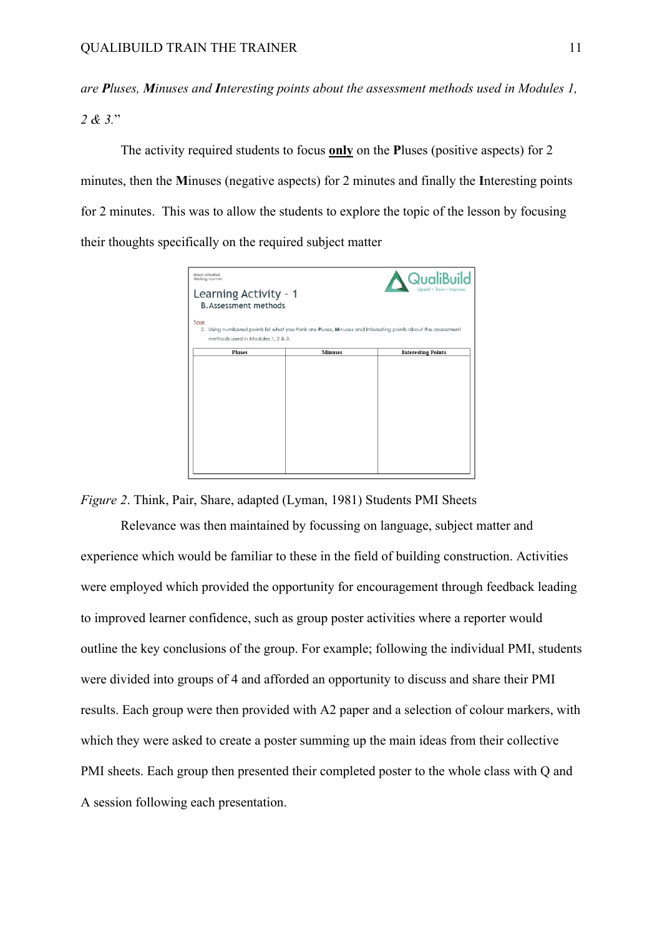*are Pluses, Minuses and Interesting points about the assessment methods used in Modules 1, 2 & 3.*"

The activity required students to focus **only** on the **P**luses (positive aspects) for 2 minutes, then the **M**inuses (negative aspects) for 2 minutes and finally the **I**nteresting points for 2 minutes. This was to allow the students to explore the topic of the lesson by focusing their thoughts specifically on the required subject matter



*Figure 2*. Think, Pair, Share, adapted (Lyman, 1981) Students PMI Sheets

Relevance was then maintained by focussing on language, subject matter and experience which would be familiar to these in the field of building construction. Activities were employed which provided the opportunity for encouragement through feedback leading to improved learner confidence, such as group poster activities where a reporter would outline the key conclusions of the group. For example; following the individual PMI, students were divided into groups of 4 and afforded an opportunity to discuss and share their PMI results. Each group were then provided with A2 paper and a selection of colour markers, with which they were asked to create a poster summing up the main ideas from their collective PMI sheets. Each group then presented their completed poster to the whole class with Q and A session following each presentation.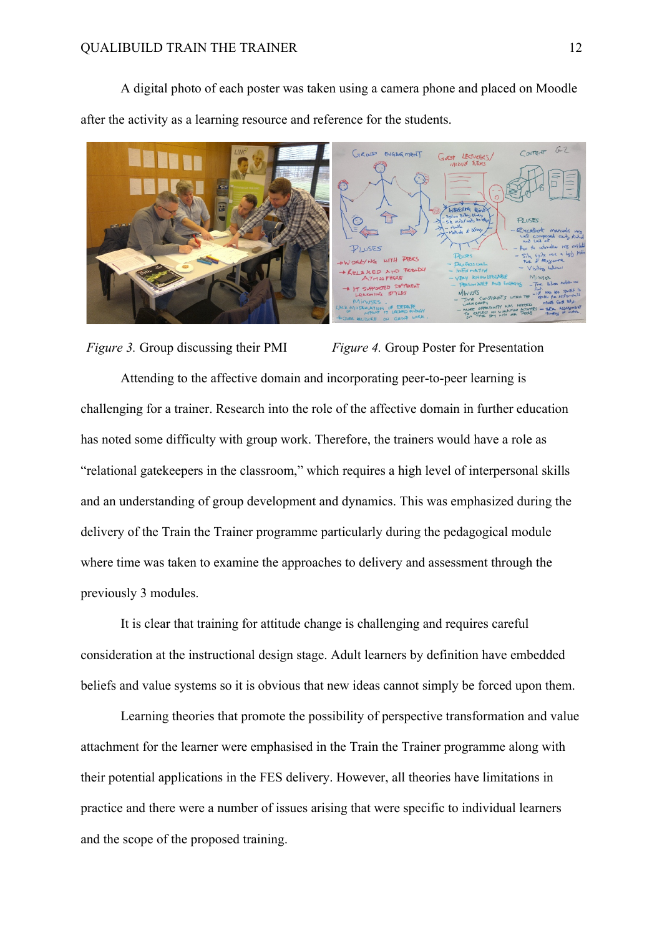A digital photo of each poster was taken using a camera phone and placed on Moodle after the activity as a learning resource and reference for the students.



*Figure 3.* Group discussing their PMI *Figure 4.* Group Poster for Presentation Attending to the affective domain and incorporating peer-to-peer learning is challenging for a trainer. Research into the role of the affective domain in further education has noted some difficulty with group work. Therefore, the trainers would have a role as "relational gatekeepers in the classroom," which requires a high level of interpersonal skills and an understanding of group development and dynamics. This was emphasized during the delivery of the Train the Trainer programme particularly during the pedagogical module where time was taken to examine the approaches to delivery and assessment through the previously 3 modules.

It is clear that training for attitude change is challenging and requires careful consideration at the instructional design stage. Adult learners by definition have embedded beliefs and value systems so it is obvious that new ideas cannot simply be forced upon them.

Learning theories that promote the possibility of perspective transformation and value attachment for the learner were emphasised in the Train the Trainer programme along with their potential applications in the FES delivery. However, all theories have limitations in practice and there were a number of issues arising that were specific to individual learners and the scope of the proposed training.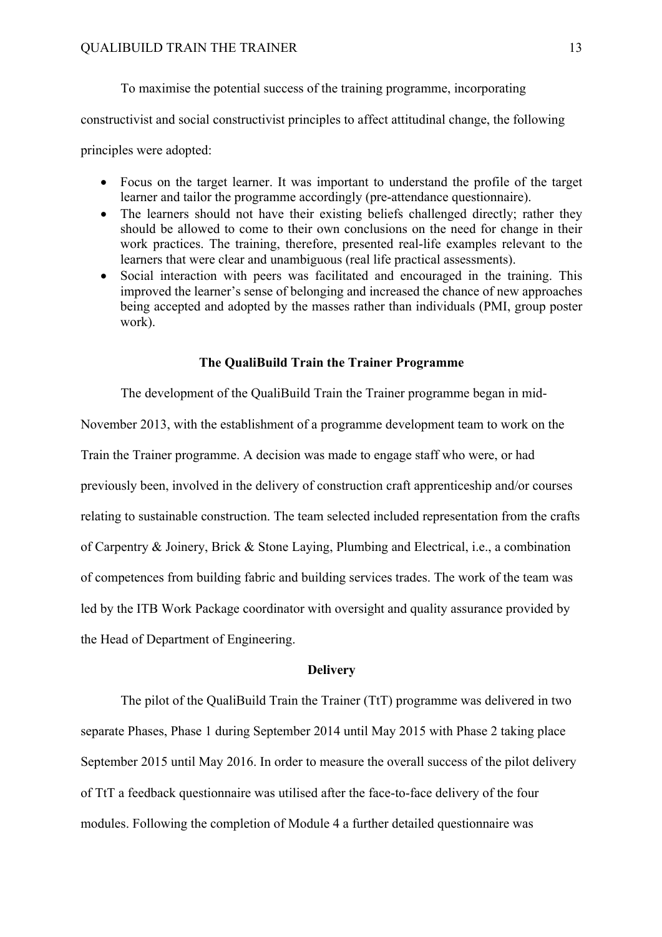To maximise the potential success of the training programme, incorporating

constructivist and social constructivist principles to affect attitudinal change, the following

principles were adopted:

- Focus on the target learner. It was important to understand the profile of the target learner and tailor the programme accordingly (pre-attendance questionnaire).
- The learners should not have their existing beliefs challenged directly; rather they should be allowed to come to their own conclusions on the need for change in their work practices. The training, therefore, presented real-life examples relevant to the learners that were clear and unambiguous (real life practical assessments).
- Social interaction with peers was facilitated and encouraged in the training. This improved the learner's sense of belonging and increased the chance of new approaches being accepted and adopted by the masses rather than individuals (PMI, group poster work).

#### **The QualiBuild Train the Trainer Programme**

The development of the QualiBuild Train the Trainer programme began in mid-

November 2013, with the establishment of a programme development team to work on the Train the Trainer programme. A decision was made to engage staff who were, or had previously been, involved in the delivery of construction craft apprenticeship and/or courses relating to sustainable construction. The team selected included representation from the crafts of Carpentry & Joinery, Brick & Stone Laying, Plumbing and Electrical, i.e., a combination of competences from building fabric and building services trades. The work of the team was led by the ITB Work Package coordinator with oversight and quality assurance provided by the Head of Department of Engineering.

#### **Delivery**

The pilot of the QualiBuild Train the Trainer (TtT) programme was delivered in two separate Phases, Phase 1 during September 2014 until May 2015 with Phase 2 taking place September 2015 until May 2016. In order to measure the overall success of the pilot delivery of TtT a feedback questionnaire was utilised after the face-to-face delivery of the four modules. Following the completion of Module 4 a further detailed questionnaire was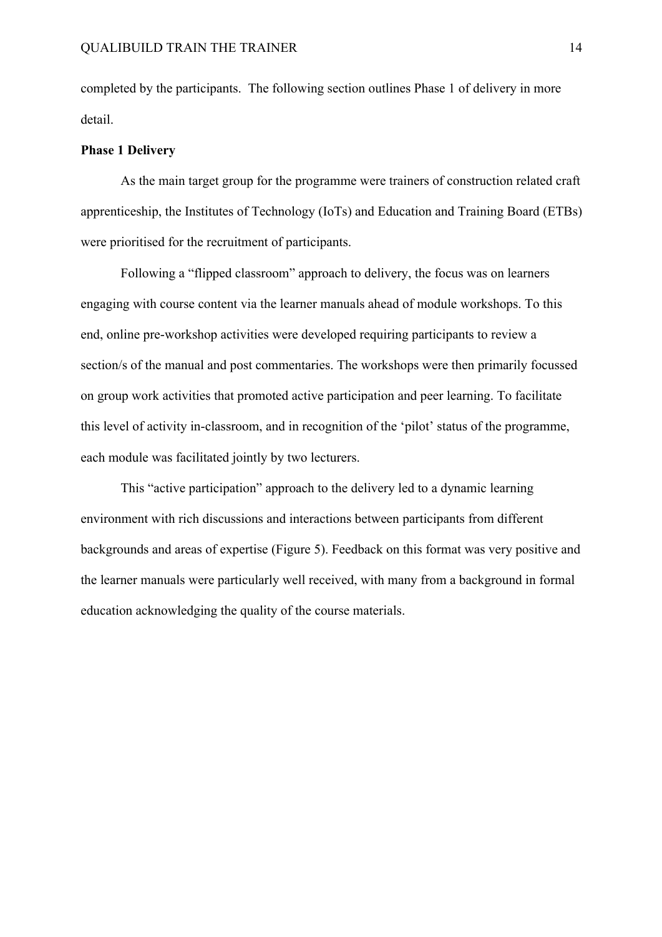completed by the participants. The following section outlines Phase 1 of delivery in more detail.

#### **Phase 1 Delivery**

As the main target group for the programme were trainers of construction related craft apprenticeship, the Institutes of Technology (IoTs) and Education and Training Board (ETBs) were prioritised for the recruitment of participants.

Following a "flipped classroom" approach to delivery, the focus was on learners engaging with course content via the learner manuals ahead of module workshops. To this end, online pre-workshop activities were developed requiring participants to review a section/s of the manual and post commentaries. The workshops were then primarily focussed on group work activities that promoted active participation and peer learning. To facilitate this level of activity in-classroom, and in recognition of the 'pilot' status of the programme, each module was facilitated jointly by two lecturers.

This "active participation" approach to the delivery led to a dynamic learning environment with rich discussions and interactions between participants from different backgrounds and areas of expertise (Figure 5). Feedback on this format was very positive and the learner manuals were particularly well received, with many from a background in formal education acknowledging the quality of the course materials.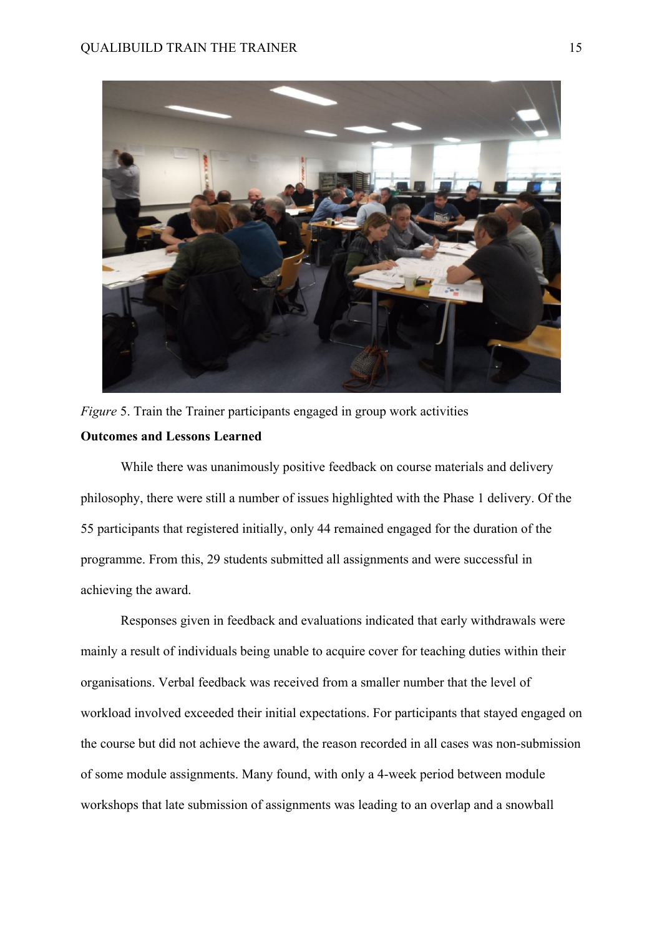

*Figure* 5. Train the Trainer participants engaged in group work activities **Outcomes and Lessons Learned**

While there was unanimously positive feedback on course materials and delivery philosophy, there were still a number of issues highlighted with the Phase 1 delivery. Of the 55 participants that registered initially, only 44 remained engaged for the duration of the programme. From this, 29 students submitted all assignments and were successful in achieving the award.

Responses given in feedback and evaluations indicated that early withdrawals were mainly a result of individuals being unable to acquire cover for teaching duties within their organisations. Verbal feedback was received from a smaller number that the level of workload involved exceeded their initial expectations. For participants that stayed engaged on the course but did not achieve the award, the reason recorded in all cases was non-submission of some module assignments. Many found, with only a 4-week period between module workshops that late submission of assignments was leading to an overlap and a snowball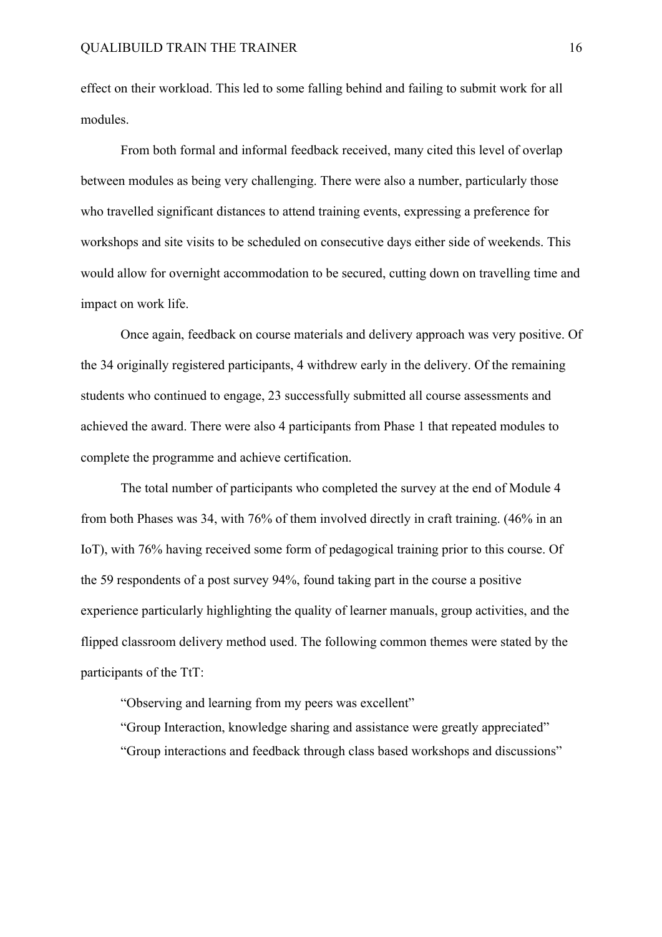effect on their workload. This led to some falling behind and failing to submit work for all modules.

From both formal and informal feedback received, many cited this level of overlap between modules as being very challenging. There were also a number, particularly those who travelled significant distances to attend training events, expressing a preference for workshops and site visits to be scheduled on consecutive days either side of weekends. This would allow for overnight accommodation to be secured, cutting down on travelling time and impact on work life.

Once again, feedback on course materials and delivery approach was very positive. Of the 34 originally registered participants, 4 withdrew early in the delivery. Of the remaining students who continued to engage, 23 successfully submitted all course assessments and achieved the award. There were also 4 participants from Phase 1 that repeated modules to complete the programme and achieve certification.

The total number of participants who completed the survey at the end of Module 4 from both Phases was 34, with 76% of them involved directly in craft training. (46% in an IoT), with 76% having received some form of pedagogical training prior to this course. Of the 59 respondents of a post survey 94%, found taking part in the course a positive experience particularly highlighting the quality of learner manuals, group activities, and the flipped classroom delivery method used. The following common themes were stated by the participants of the TtT:

"Observing and learning from my peers was excellent"

"Group Interaction, knowledge sharing and assistance were greatly appreciated" "Group interactions and feedback through class based workshops and discussions"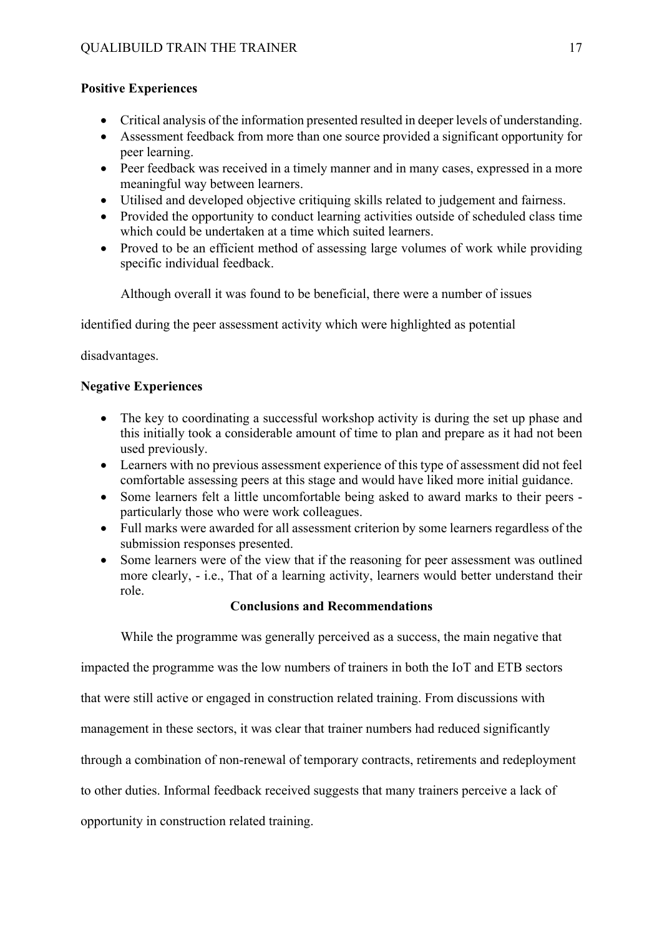# **Positive Experiences**

- Critical analysis of the information presented resulted in deeper levels of understanding.
- Assessment feedback from more than one source provided a significant opportunity for peer learning.
- Peer feedback was received in a timely manner and in many cases, expressed in a more meaningful way between learners.
- Utilised and developed objective critiquing skills related to judgement and fairness.
- Provided the opportunity to conduct learning activities outside of scheduled class time which could be undertaken at a time which suited learners.
- Proved to be an efficient method of assessing large volumes of work while providing specific individual feedback.

Although overall it was found to be beneficial, there were a number of issues

identified during the peer assessment activity which were highlighted as potential

disadvantages.

# **Negative Experiences**

- The key to coordinating a successful workshop activity is during the set up phase and this initially took a considerable amount of time to plan and prepare as it had not been used previously.
- Learners with no previous assessment experience of this type of assessment did not feel comfortable assessing peers at this stage and would have liked more initial guidance.
- Some learners felt a little uncomfortable being asked to award marks to their peers particularly those who were work colleagues.
- Full marks were awarded for all assessment criterion by some learners regardless of the submission responses presented.
- Some learners were of the view that if the reasoning for peer assessment was outlined more clearly, - i.e., That of a learning activity, learners would better understand their role.

# **Conclusions and Recommendations**

While the programme was generally perceived as a success, the main negative that

impacted the programme was the low numbers of trainers in both the IoT and ETB sectors

that were still active or engaged in construction related training. From discussions with

management in these sectors, it was clear that trainer numbers had reduced significantly

through a combination of non-renewal of temporary contracts, retirements and redeployment

to other duties. Informal feedback received suggests that many trainers perceive a lack of

opportunity in construction related training.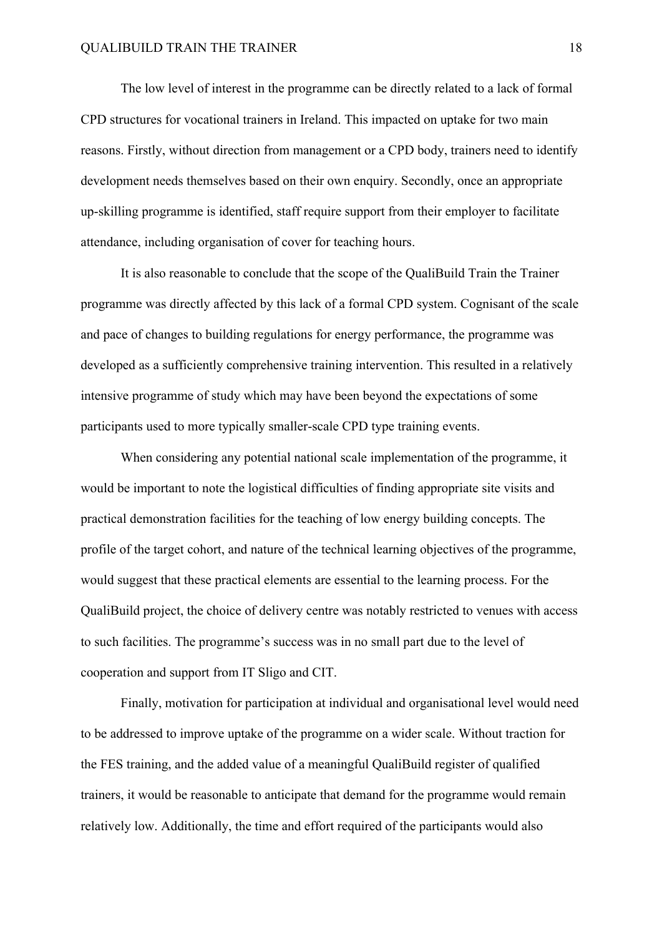The low level of interest in the programme can be directly related to a lack of formal CPD structures for vocational trainers in Ireland. This impacted on uptake for two main reasons. Firstly, without direction from management or a CPD body, trainers need to identify development needs themselves based on their own enquiry. Secondly, once an appropriate up-skilling programme is identified, staff require support from their employer to facilitate attendance, including organisation of cover for teaching hours.

It is also reasonable to conclude that the scope of the QualiBuild Train the Trainer programme was directly affected by this lack of a formal CPD system. Cognisant of the scale and pace of changes to building regulations for energy performance, the programme was developed as a sufficiently comprehensive training intervention. This resulted in a relatively intensive programme of study which may have been beyond the expectations of some participants used to more typically smaller-scale CPD type training events.

When considering any potential national scale implementation of the programme, it would be important to note the logistical difficulties of finding appropriate site visits and practical demonstration facilities for the teaching of low energy building concepts. The profile of the target cohort, and nature of the technical learning objectives of the programme, would suggest that these practical elements are essential to the learning process. For the QualiBuild project, the choice of delivery centre was notably restricted to venues with access to such facilities. The programme's success was in no small part due to the level of cooperation and support from IT Sligo and CIT.

Finally, motivation for participation at individual and organisational level would need to be addressed to improve uptake of the programme on a wider scale. Without traction for the FES training, and the added value of a meaningful QualiBuild register of qualified trainers, it would be reasonable to anticipate that demand for the programme would remain relatively low. Additionally, the time and effort required of the participants would also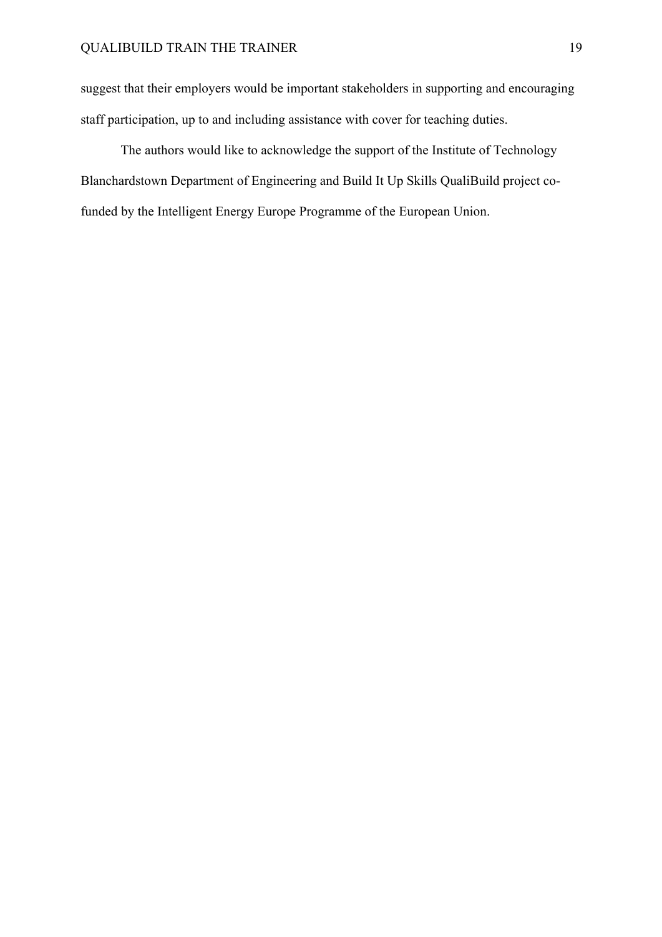suggest that their employers would be important stakeholders in supporting and encouraging staff participation, up to and including assistance with cover for teaching duties.

The authors would like to acknowledge the support of the Institute of Technology Blanchardstown Department of Engineering and Build It Up Skills QualiBuild project cofunded by the Intelligent Energy Europe Programme of the European Union.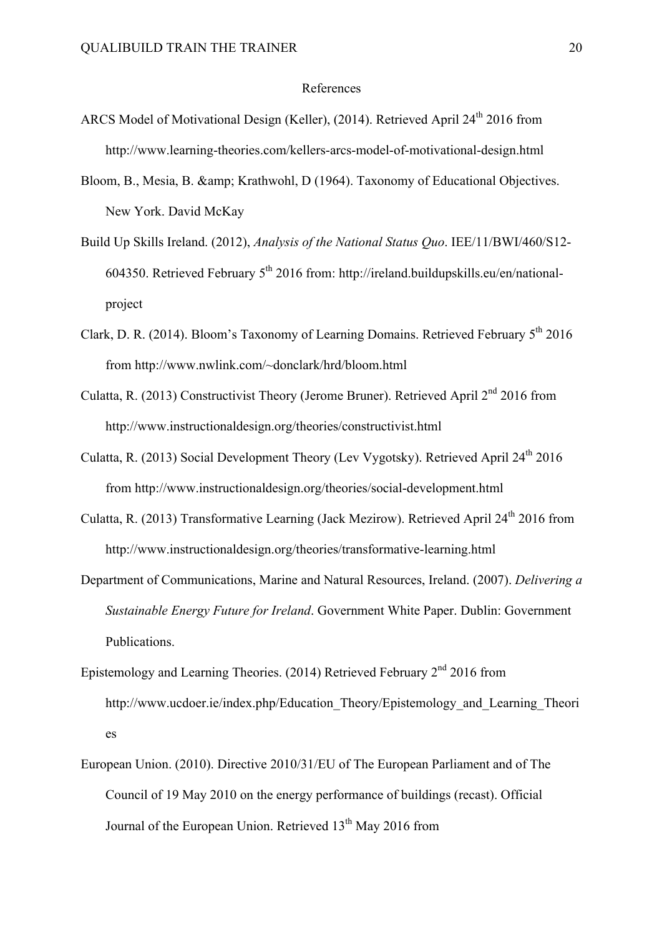#### References

- ARCS Model of Motivational Design (Keller), (2014). Retrieved April 24<sup>th</sup> 2016 from http://www.learning-theories.com/kellers-arcs-model-of-motivational-design.html
- Bloom, B., Mesia, B. & amp; Krathwohl, D (1964). Taxonomy of Educational Objectives. New York. David McKay
- Build Up Skills Ireland. (2012), *Analysis of the National Status Quo*. IEE/11/BWI/460/S12- 604350. Retrieved February 5th 2016 from: http://ireland.buildupskills.eu/en/nationalproject
- Clark, D. R. (2014). Bloom's Taxonomy of Learning Domains. Retrieved February  $5<sup>th</sup>$  2016 from http://www.nwlink.com/~donclark/hrd/bloom.html
- Culatta, R. (2013) Constructivist Theory (Jerome Bruner). Retrieved April  $2<sup>nd</sup>$  2016 from http://www.instructionaldesign.org/theories/constructivist.html
- Culatta, R. (2013) Social Development Theory (Lev Vygotsky). Retrieved April 24th 2016 from http://www.instructionaldesign.org/theories/social-development.html
- Culatta, R. (2013) Transformative Learning (Jack Mezirow). Retrieved April  $24<sup>th</sup>$  2016 from http://www.instructionaldesign.org/theories/transformative-learning.html
- Department of Communications, Marine and Natural Resources, Ireland. (2007). *Delivering a Sustainable Energy Future for Ireland*. Government White Paper. Dublin: Government Publications.
- Epistemology and Learning Theories. (2014) Retrieved February  $2<sup>nd</sup>$  2016 from http://www.ucdoer.ie/index.php/Education\_Theory/Epistemology\_and\_Learning\_Theori es
- European Union. (2010). Directive 2010/31/EU of The European Parliament and of The Council of 19 May 2010 on the energy performance of buildings (recast). Official Journal of the European Union. Retrieved 13<sup>th</sup> May 2016 from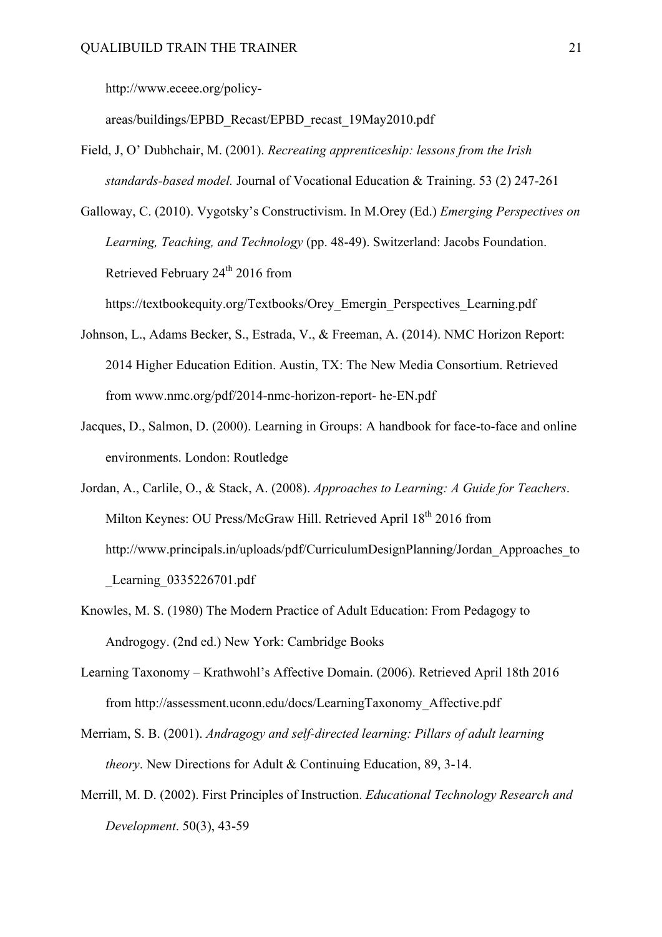http://www.eceee.org/policy-

areas/buildings/EPBD\_Recast/EPBD\_recast\_19May2010.pdf

Field, J, O' Dubhchair, M. (2001). *Recreating apprenticeship: lessons from the Irish standards-based model.* Journal of Vocational Education & Training. 53 (2) 247-261

Galloway, C. (2010). Vygotsky's Constructivism. In M.Orey (Ed.) *Emerging Perspectives on Learning, Teaching, and Technology* (pp. 48-49). Switzerland: Jacobs Foundation. Retrieved February 24<sup>th</sup> 2016 from

https://textbookequity.org/Textbooks/Orey\_Emergin\_Perspectives\_Learning.pdf

- Johnson, L., Adams Becker, S., Estrada, V., & Freeman, A. (2014). NMC Horizon Report: 2014 Higher Education Edition. Austin, TX: The New Media Consortium. Retrieved from www.nmc.org/pdf/2014-nmc-horizon-report- he-EN.pdf
- Jacques, D., Salmon, D. (2000). Learning in Groups: A handbook for face-to-face and online environments. London: Routledge
- Jordan, A., Carlile, O., & Stack, A. (2008). *Approaches to Learning: A Guide for Teachers*. Milton Keynes: OU Press/McGraw Hill. Retrieved April 18<sup>th</sup> 2016 from http://www.principals.in/uploads/pdf/CurriculumDesignPlanning/Jordan\_Approaches\_to \_Learning\_0335226701.pdf
- Knowles, M. S. (1980) The Modern Practice of Adult Education: From Pedagogy to Androgogy. (2nd ed.) New York: Cambridge Books
- Learning Taxonomy Krathwohl's Affective Domain. (2006). Retrieved April 18th 2016 from http://assessment.uconn.edu/docs/LearningTaxonomy\_Affective.pdf
- Merriam, S. B. (2001). *Andragogy and self-directed learning: Pillars of adult learning theory*. New Directions for Adult & Continuing Education, 89, 3-14.
- Merrill, M. D. (2002). First Principles of Instruction. *Educational Technology Research and Development*. 50(3), 43-59